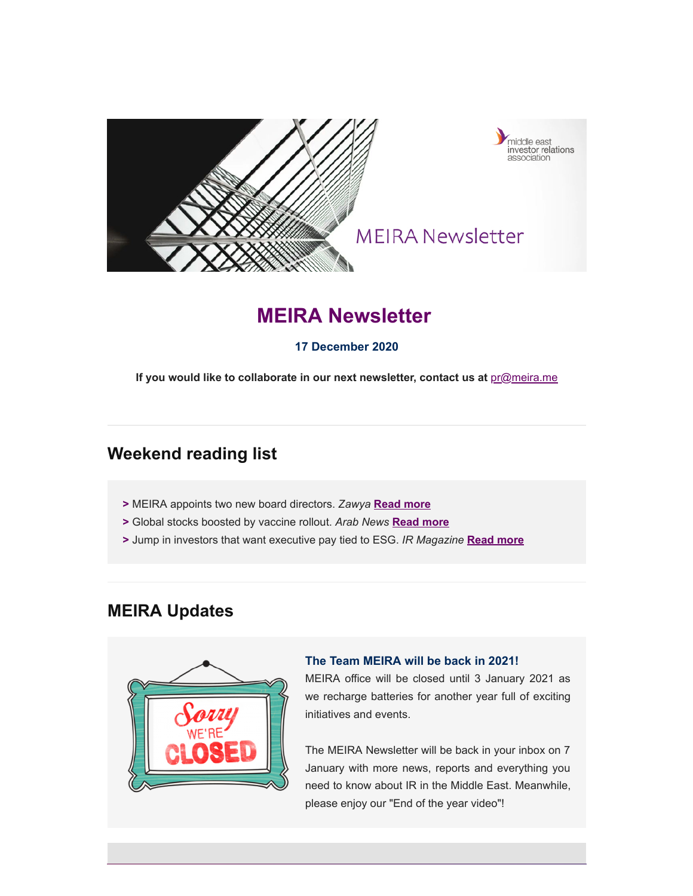

# **MEIRA Newsletter**

### **17 December 2020**

If you would like to collaborate in our next newsletter, contact us at **[pr@meira.me](mailto:pr@meira.me?subject=MEIRA%20Newsletter%20-%20Feedback)** 

## **Weekend reading list**

- **>** MEIRA appoints two new board directors. *Zawya* **[Read more](https://www.zawya.com/mena/en/press-releases/story/MEIRA_appoints_two_new_board_directors-ZAWYA20201210075250/)**
- **>** Global stocks boosted by vaccine rollout. *Arab News* **[Read more](https://www.arabnews.com/node/1777486/business-economy)**
- **>** Jump in investors that want executive pay tied to ESG. *IR Magazine* **[Read more](https://www.irmagazine.com/buy-side/jump-investors-want-executive-pay-tied-esg)**

## **MEIRA Updates**



#### **The Team MEIRA will be back in 2021!**

MEIRA office will be closed until 3 January 2021 as we recharge batteries for another year full of exciting initiatives and events.

The MEIRA Newsletter will be back in your inbox on 7 January with more news, reports and everything you need to know about IR in the Middle East. Meanwhile, please enjoy our "End of the year video"!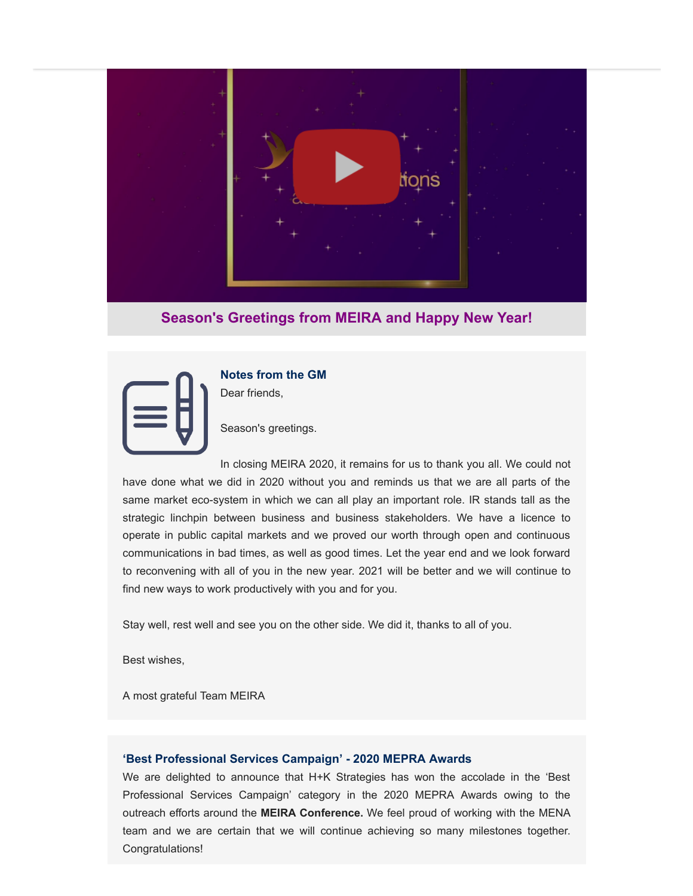

### **Season's Greetings from MEIRA and Happy New Year!**



**Notes from the GM** Dear friends,

Season's greetings.

In closing MEIRA 2020, it remains for us to thank you all. We could not have done what we did in 2020 without you and reminds us that we are all parts of the same market eco-system in which we can all play an important role. IR stands tall as the strategic linchpin between business and business stakeholders. We have a licence to operate in public capital markets and we proved our worth through open and continuous communications in bad times, as well as good times. Let the year end and we look forward to reconvening with all of you in the new year. 2021 will be better and we will continue to find new ways to work productively with you and for you.

Stay well, rest well and see you on the other side. We did it, thanks to all of you.

Best wishes,

A most grateful Team MEIRA

#### **'Best Professional Services Campaign' - 2020 MEPRA Awards**

We are delighted to announce that H+K Strategies has won the accolade in the 'Best Professional Services Campaign' category in the 2020 MEPRA Awards owing to the outreach efforts around the **MEIRA Conference.** We feel proud of working with the MENA team and we are certain that we will continue achieving so many milestones together. Congratulations!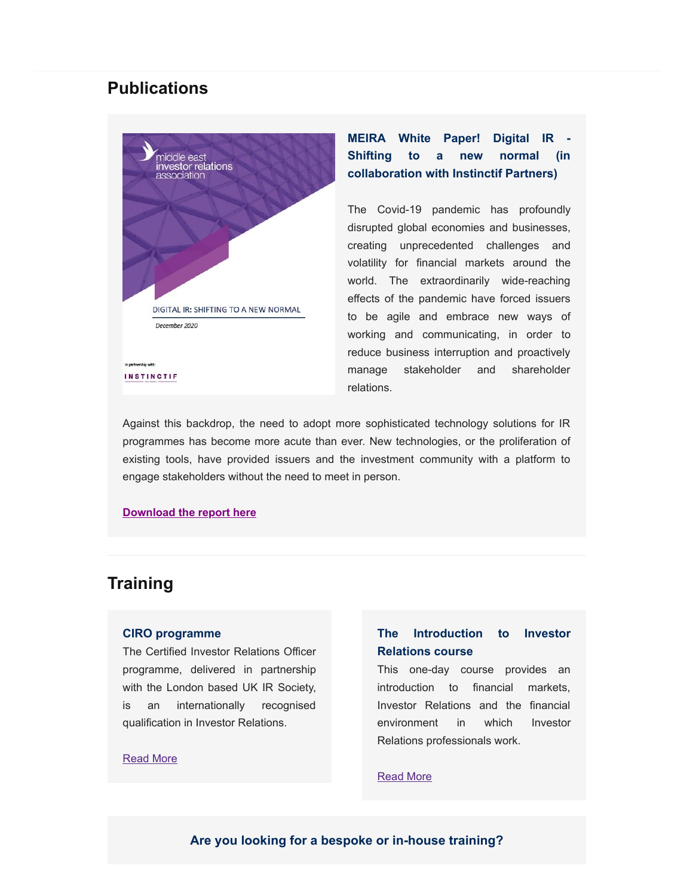### **Publications**



### **MEIRA White Paper! Digital IR - Shifting to a new normal (in collaboration with Instinctif Partners)**

The Covid-19 pandemic has profoundly disrupted global economies and businesses, creating unprecedented challenges and volatility for financial markets around the world. The extraordinarily wide-reaching effects of the pandemic have forced issuers to be agile and embrace new ways of working and communicating, in order to reduce business interruption and proactively manage stakeholder and shareholder relations.

Against this backdrop, the need to adopt more sophisticated technology solutions for IR programmes has become more acute than ever. New technologies, or the proliferation of existing tools, have provided issuers and the investment community with a platform to engage stakeholders without the need to meet in person.

#### **[Download the report here](https://mcusercontent.com/fb3bf6ef969429f0986e227fa/files/2a1d1c0f-abbb-45fc-bc81-117c760c0df7/MEIRA_WP_DIGITAL_IR_SHIFTING_TO_A_NEW_NORMAL.pdf)**

## **Training**

#### **CIRO programme**

The Certified Investor Relations Officer programme, delivered in partnership with the London based UK IR Society, is an internationally recognised qualification in Investor Relations.

#### [Read More](https://meira.me/training/)

### **The Introduction to Investor Relations course**

This one-day course provides an introduction to financial markets, Investor Relations and the financial environment in which Investor Relations professionals work.

#### [Read More](https://meira.me/training/introduction-to-investor-relations/)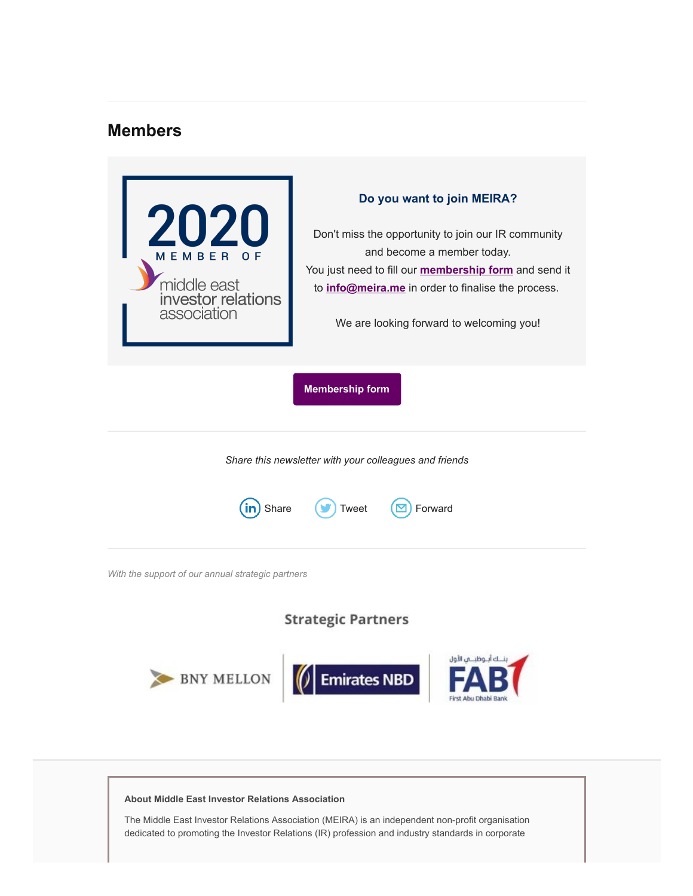## **Members**

| 2020<br>MEMBER<br>middle east<br>investor relations<br>association | Do you want to join MEIRA?<br>Don't miss the opportunity to join our IR community<br>and become a member today.<br>You just need to fill our <b>membership form</b> and send it<br>to <i>info@meira.me</i> in order to finalise the process.<br>We are looking forward to welcoming you! |
|--------------------------------------------------------------------|------------------------------------------------------------------------------------------------------------------------------------------------------------------------------------------------------------------------------------------------------------------------------------------|
| <b>Membership form</b>                                             |                                                                                                                                                                                                                                                                                          |
| Share this newsletter with your colleagues and friends             |                                                                                                                                                                                                                                                                                          |
| Forward<br>Share<br><b>Tweet</b>                                   |                                                                                                                                                                                                                                                                                          |
| With the support of our annual strategic partners                  |                                                                                                                                                                                                                                                                                          |
| <b>Strategic Partners</b>                                          |                                                                                                                                                                                                                                                                                          |
| Y MELLON                                                           | ك أنـ وظبـــمى الأول<br><b>Emirates NBD</b>                                                                                                                                                                                                                                              |

#### **About Middle East Investor Relations Association**

The Middle East Investor Relations Association (MEIRA) is an independent non-profit organisation dedicated to promoting the Investor Relations (IR) profession and industry standards in corporate